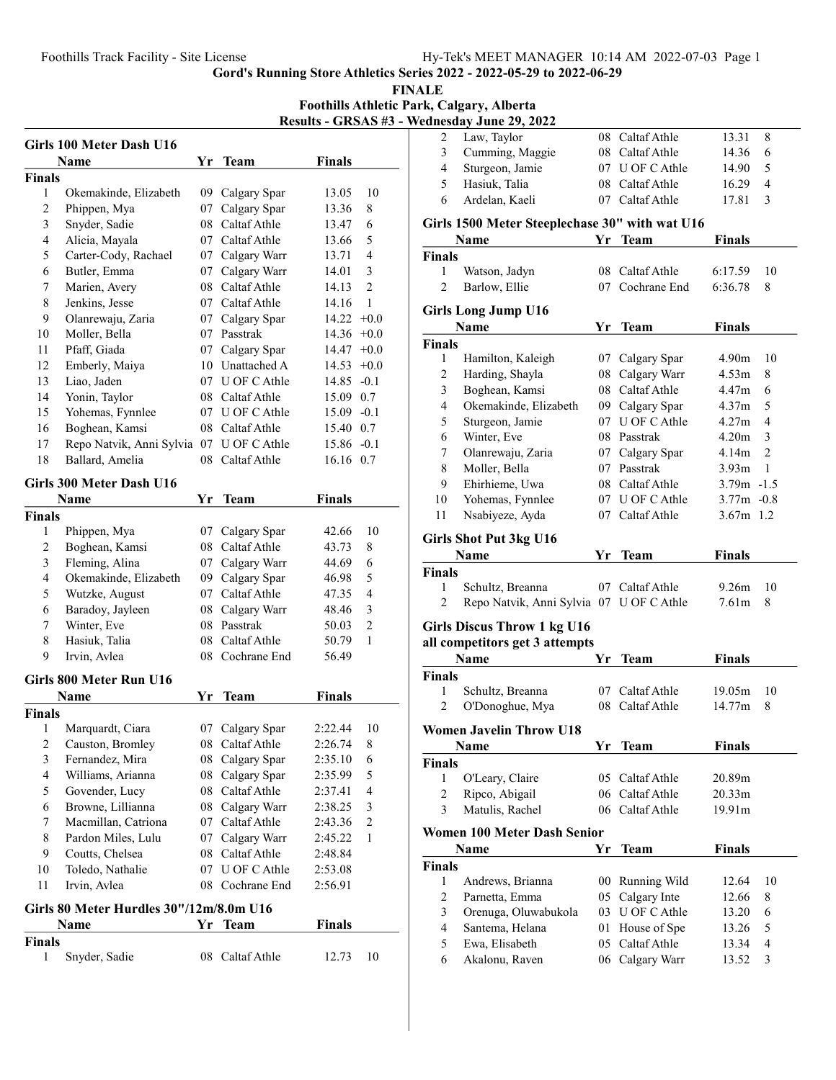FINALE Foothills Athletic Park, Calgary, Alberta Results - GRSAS #3 - Wednesday

|                         | Girls 100 Meter Dash U16                 |    |                 |               |                         |
|-------------------------|------------------------------------------|----|-----------------|---------------|-------------------------|
|                         | Name                                     | Yr | <b>Team</b>     | Finals        |                         |
| <b>Finals</b>           |                                          |    |                 |               |                         |
| 1                       | Okemakinde, Elizabeth                    |    | 09 Calgary Spar | 13.05         | 10                      |
| 2                       | Phippen, Mya                             | 07 | Calgary Spar    | 13.36         | 8                       |
| 3                       | Snyder, Sadie                            | 08 | Caltaf Athle    | 13.47         | 6                       |
| 4                       | Alicia, Mayala                           |    | 07 Caltaf Athle | 13.66         | 5                       |
| 5                       | Carter-Cody, Rachael                     |    | 07 Calgary Warr | 13.71         | 4                       |
| 6                       | Butler, Emma                             |    | 07 Calgary Warr | 14.01         | 3                       |
| 7                       | Marien, Avery                            | 08 | Caltaf Athle    | 14.13         | $\overline{2}$          |
| 8                       | Jenkins, Jesse                           | 07 | Caltaf Athle    | 14.16         | 1                       |
| 9                       | Olanrewaju, Zaria                        |    | 07 Calgary Spar | 14.22         | $+0.0$                  |
| 10                      | Moller, Bella                            |    | 07 Passtrak     | 14.36         | $+0.0$                  |
| 11                      | Pfaff, Giada                             |    | 07 Calgary Spar | 14.47         | $+0.0$                  |
| 12                      | Emberly, Maiya                           |    | 10 Unattached A | 14.53         | $+0.0$                  |
| 13                      | Liao, Jaden                              |    | 07 U OF C Athle | $14.85 - 0.1$ |                         |
| 14                      | Yonin, Taylor                            |    | 08 Caltaf Athle | 15.09 0.7     |                         |
| 15                      | Yohemas, Fynnlee                         |    | 07 U OF C Athle | $15.09 - 0.1$ |                         |
| 16                      | Boghean, Kamsi                           | 08 | Caltaf Athle    | 15.40         | 0.7                     |
| 17                      | Repo Natvik, Anni Sylvia 07 U OF C Athle |    |                 | 15.86         | $-0.1$                  |
| 18                      | Ballard, Amelia                          | 08 | Caltaf Athle    | 16.16 0.7     |                         |
|                         |                                          |    |                 |               |                         |
|                         | Girls 300 Meter Dash U16                 |    |                 |               |                         |
|                         | Name                                     | Yr | <b>Team</b>     | <b>Finals</b> |                         |
| <b>Finals</b>           |                                          |    |                 |               |                         |
| 1                       | Phippen, Mya                             | 07 | Calgary Spar    | 42.66         | 10                      |
| 2                       | Boghean, Kamsi                           |    | 08 Caltaf Athle | 43.73         | 8                       |
| 3                       | Fleming, Alina                           |    | 07 Calgary Warr | 44.69         | 6                       |
| $\overline{4}$          | Okemakinde, Elizabeth                    |    | 09 Calgary Spar | 46.98         | 5                       |
| 5                       | Wutzke, August                           |    | 07 Caltaf Athle | 47.35         | $\overline{\mathbf{4}}$ |
| 6                       | Baradoy, Jayleen                         |    | 08 Calgary Warr | 48.46         | 3                       |
| 7                       | Winter, Eve                              |    | 08 Passtrak     | 50.03         | $\overline{c}$          |
| 8                       | Hasiuk, Talia                            | 08 | Caltaf Athle    | 50.79         | 1                       |
| 9                       | Irvin, Avlea                             | 08 | Cochrane End    | 56.49         |                         |
|                         | Girls 800 Meter Run U16                  |    |                 |               |                         |
|                         | Name                                     | Yr | Team            | Finals        |                         |
| Finals                  |                                          |    |                 |               |                         |
| 1                       | Marquardt, Ciara                         | 07 | Calgary Spar    | 2:22.44       | 10                      |
| 2                       | Causton, Bromley                         | 08 | Caltaf Athle    | 2:26.74       | 8                       |
| 3                       | Fernandez, Mira                          | 08 | Calgary Spar    | 2:35.10       | 6                       |
| $\overline{\mathbf{4}}$ | Williams, Arianna                        | 08 | Calgary Spar    | 2:35.99       | 5                       |
| 5                       | Govender, Lucy                           | 08 | Caltaf Athle    | 2:37.41       | 4                       |
| 6                       | Browne, Lillianna                        |    | 08 Calgary Warr | 2:38.25       | 3                       |
| 7                       | Macmillan, Catriona                      | 07 | Caltaf Athle    | 2:43.36       | $\overline{c}$          |
| 8                       | Pardon Miles, Lulu                       | 07 | Calgary Warr    | 2:45.22       | 1                       |
| 9                       | Coutts, Chelsea                          | 08 | Caltaf Athle    | 2:48.84       |                         |
| 10                      | Toledo, Nathalie                         | 07 | U OF C Athle    | 2:53.08       |                         |
| 11                      | Irvin, Avlea                             | 08 | Cochrane End    | 2:56.91       |                         |
|                         |                                          |    |                 |               |                         |
|                         | Girls 80 Meter Hurdles 30"/12m/8.0m U16  |    |                 |               |                         |
|                         | Name                                     | Yr | <b>Team</b>     | <b>Finals</b> |                         |
| <b>Finals</b>           |                                          |    |                 |               |                         |
| 1                       | Snyder, Sadie                            | 08 | Caltaf Athle    | 12.73         | 10                      |

|                | ednesday June 29, 2022                         |     |                                    |                |                     |
|----------------|------------------------------------------------|-----|------------------------------------|----------------|---------------------|
| 2              | Law, Taylor                                    |     | 08 Caltaf Athle                    | 13.31          | 8                   |
| 3              | Cumming, Maggie                                |     | 08 Caltaf Athle                    | 14.36          | 6                   |
| 4              | Sturgeon, Jamie                                |     | 07 U OF C Athle                    | 14.90          | 5                   |
| 5              | Hasiuk, Talia                                  |     | 08 Caltaf Athle                    | 16.29          | 4                   |
| 6              | Ardelan, Kaeli                                 |     | 07 Caltaf Athle                    | 17.81          | 3                   |
|                | Girls 1500 Meter Steeplechase 30" with wat U16 |     |                                    |                |                     |
|                | Name                                           | Yr  | Team                               | <b>Finals</b>  |                     |
| <b>Finals</b>  |                                                |     |                                    |                |                     |
| 1              | Watson, Jadyn                                  |     | 08 Caltaf Athle                    | 6:17.59        | 10                  |
| $\overline{c}$ | Barlow, Ellie                                  |     | 07 Cochrane End                    | 6:36.78        | 8                   |
|                |                                                |     |                                    |                |                     |
|                | <b>Girls Long Jump U16</b><br>Name             | Yr  | <b>Team</b>                        | Finals         |                     |
|                |                                                |     |                                    |                |                     |
| <b>Finals</b>  |                                                |     |                                    |                |                     |
| 1              | Hamilton, Kaleigh                              |     | 07 Calgary Spar                    | 4.90m          | 10                  |
| 2              | Harding, Shayla                                | 08  | Calgary Warr                       | 4.53m          | 8                   |
| 3              | Boghean, Kamsi                                 | 08  | Caltaf Athle                       | 4.47m          | 6                   |
| 4              | Okemakinde, Elizabeth                          | 09- | Calgary Spar                       | 4.37m          | 5                   |
| 5              | Sturgeon, Jamie                                | 07  | U OF C Athle                       | 4.27m          | 4                   |
| 6              | Winter, Eve                                    |     | 08 Passtrak                        | 4.20m          | 3                   |
| 7              | Olanrewaju, Zaria                              |     | 07 Calgary Spar                    | 4.14m          | $\overline{c}$      |
| $\,$ $\,$      | Moller, Bella                                  |     | 07 Passtrak                        | 3.93m          | 1                   |
| 9              | Ehirhieme, Uwa                                 |     | 08 Caltaf Athle                    | $3.79m - 1.5$  |                     |
| 10             | Yohemas, Fynnlee                               |     | 07 U OF C Athle                    | $3.77m - 0.8$  |                     |
| 11             | Nsabiyeze, Ayda                                |     | 07 Caltaf Athle                    | $3.67m$ 1.2    |                     |
|                |                                                |     |                                    |                |                     |
|                | <b>Girls Shot Put 3kg U16</b>                  |     |                                    |                |                     |
|                |                                                |     |                                    |                |                     |
|                | Name                                           | Yr  | Team                               | <b>Finals</b>  |                     |
| <b>Finals</b>  |                                                |     |                                    |                |                     |
| 1              | Schultz, Breanna                               | 07  | Caltaf Athle                       | 9.26m          | 10                  |
| 2              | Repo Natvik, Anni Sylvia 07 U OF C Athle       |     |                                    | 7.61m          | 8                   |
|                | <b>Girls Discus Throw 1 kg U16</b>             |     |                                    |                |                     |
|                | all competitors get 3 attempts                 |     |                                    |                |                     |
|                | Name                                           | Yr. | <b>Team</b>                        | <b>Finals</b>  |                     |
| <b>Finals</b>  |                                                |     |                                    |                |                     |
| 1              |                                                |     | 07 Caltaf Athle                    | 19.05m         | 10                  |
| 2              | Schultz, Breanna<br>O'Donoghue, Mya            |     | 08 Caltaf Athle                    | 14.77m         | 8                   |
|                |                                                |     |                                    |                |                     |
|                | <b>Women Javelin Throw U18</b>                 |     |                                    |                |                     |
|                | Name                                           | Yr  | <b>Team</b>                        | Finals         |                     |
| <b>Finals</b>  |                                                |     |                                    |                |                     |
| 1              | O'Leary, Claire                                |     | 05 Caltaf Athle                    | 20.89m         |                     |
| $\overline{c}$ | Ripco, Abigail                                 |     | 06 Caltaf Athle                    | 20.33m         |                     |
| 3              | Matulis, Rachel                                |     | 06 Caltaf Athle                    | 19.91m         |                     |
|                | <b>Women 100 Meter Dash Senior</b>             |     |                                    |                |                     |
|                |                                                |     |                                    |                |                     |
|                | Name                                           | Yr  | <b>Team</b>                        | <b>Finals</b>  |                     |
| <b>Finals</b>  |                                                |     |                                    |                |                     |
| 1              | Andrews, Brianna                               | 00  | Running Wild                       | 12.64          | 10                  |
| $\overline{2}$ | Parnetta, Emma                                 | 05  | Calgary Inte                       | 12.66          | 8                   |
| 3              | Orenuga, Oluwabukola                           |     | 03 U OF C Athle                    | 13.20          | 6                   |
| 4              | Santema, Helana                                | 01  | House of Spe                       | 13.26          | 5                   |
| 5<br>6         | Ewa, Elisabeth<br>Akalonu, Raven               |     | 05 Caltaf Athle<br>06 Calgary Warr | 13.34<br>13.52 | $\overline{4}$<br>3 |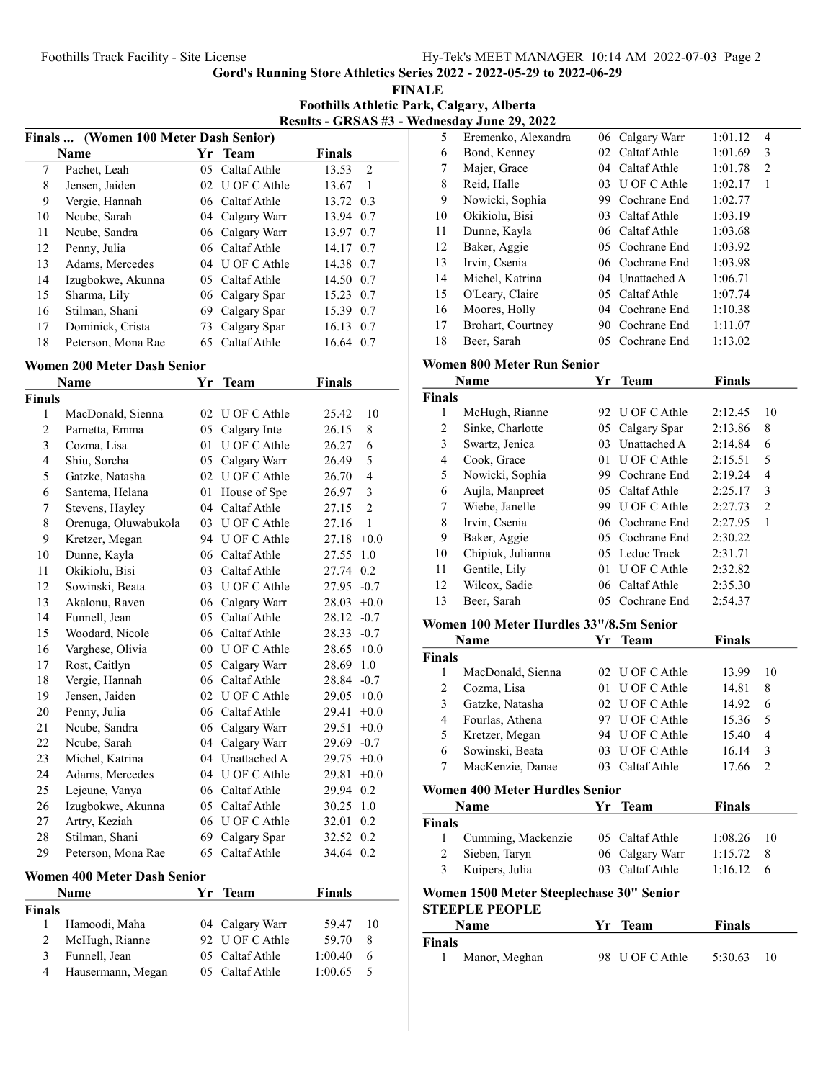FINALE Foothills Athletic Park, Calgary, Alberta Results - GRSAS #3 - Wednesday June 29, 2022

|    |                                       |     |                 | $\bf{R}$      |  |  |
|----|---------------------------------------|-----|-----------------|---------------|--|--|
|    | Finals  (Women 100 Meter Dash Senior) |     |                 |               |  |  |
|    | <b>Name</b>                           |     | Yr Team         | <b>Finals</b> |  |  |
| 7  | Pachet, Leah                          |     | 05 Caltaf Athle | 2<br>13.53    |  |  |
| 8  | Jensen, Jaiden                        |     | 02 U OF C Athle | 13.67<br>1    |  |  |
| 9  | Vergie, Hannah                        |     | 06 Caltaf Athle | 13.72 0.3     |  |  |
| 10 | Ncube, Sarah                          |     | 04 Calgary Warr | 13.94<br>0.7  |  |  |
| 11 | Ncube, Sandra                         |     | 06 Calgary Warr | 13.97 0.7     |  |  |
| 12 | Penny, Julia                          |     | 06 Caltaf Athle | 14.17 0.7     |  |  |
| 13 | Adams, Mercedes                       |     | 04 U OF C Athle | 14.38 0.7     |  |  |
| 14 | Izugbokwe, Akunna                     |     | 05 Caltaf Athle | 14.50 0.7     |  |  |
| 15 | Sharma, Lily                          |     | 06 Calgary Spar | 15.23<br>0.7  |  |  |
| 16 | Stilman, Shani                        | 69  | Calgary Spar    | 15.39<br>0.7  |  |  |
| 17 | Dominick, Crista                      |     | 73 Calgary Spar | 16.13 0.7     |  |  |
| 18 | Peterson, Mona Rae                    | 65. | Caltaf Athle    | 16.64<br>0.7  |  |  |

#### Women 200 Meter Dash Senior

|                         | Yr<br><b>Finals</b><br><b>Name</b><br><b>Team</b> |                 |                 |               |                |
|-------------------------|---------------------------------------------------|-----------------|-----------------|---------------|----------------|
| <b>Finals</b>           |                                                   |                 |                 |               |                |
| 1                       | MacDonald, Sienna                                 | 02              | U OF C Athle    | 25.42         | 10             |
| $\overline{c}$          | Parnetta, Emma                                    | 05              | Calgary Inte    | 26.15         | 8              |
| $\overline{\mathbf{3}}$ | Cozma, Lisa                                       | 01              | U OF C Athle    | 26.27         | 6              |
| $\overline{\mathbf{4}}$ | Shiu, Sorcha                                      | 05              | Calgary Warr    | 26.49         | 5              |
| 5                       | Gatzke, Natasha                                   | 02              | U OF C Athle    | 26.70         | $\overline{4}$ |
| 6                       | Santema, Helana                                   | 01              | House of Spe    | 26.97         | 3              |
| 7                       | Stevens, Hayley                                   | 04              | Caltaf Athle    | 27.15         | $\overline{2}$ |
| 8                       | Orenuga, Oluwabukola                              |                 | 03 U OF C Athle | 27.16         | 1              |
| 9                       | Kretzer, Megan                                    |                 | 94 U OF C Athle | 27.18         | $+0.0$         |
| 10                      | Dunne, Kayla                                      | 06              | Caltaf Athle    | 27.55         | $1.0\,$        |
| 11                      | Okikiolu, Bisi                                    | 03              | Caltaf Athle    | 27.74         | 0.2            |
| 12                      | Sowinski, Beata                                   |                 | 03 U OF C Athle | 27.95         | $-0.7$         |
| 13                      | Akalonu, Raven                                    | 06              | Calgary Warr    | 28.03         | $+0.0$         |
| 14                      | Funnell, Jean                                     | 05              | Caltaf Athle    | 28.12         | $-0.7$         |
| 15                      | Woodard, Nicole                                   | 06              | Caltaf Athle    | 28.33         | $-0.7$         |
| 16                      | Varghese, Olivia                                  |                 | 00 U OF C Athle | 28.65         | $+0.0$         |
| 17                      | Rost, Caitlyn                                     | 05              | Calgary Warr    | 28.69         | 1.0            |
| 18                      | Vergie, Hannah                                    | 06              | Caltaf Athle    | 28.84         | $-0.7$         |
| 19                      | Jensen, Jaiden                                    |                 | 02 U OF C Athle | 29.05         | $+0.0$         |
| 20                      | Penny, Julia                                      | 06              | Caltaf Athle    | 29.41         | $+0.0$         |
| 21                      | Ncube, Sandra                                     | 06              | Calgary Warr    | 29.51         | $+0.0$         |
| 22                      | Ncube, Sarah                                      |                 | 04 Calgary Warr | 29.69         | $-0.7$         |
| 23                      | Michel, Katrina                                   |                 | 04 Unattached A | 29.75         | $+0.0$         |
| 24                      | Adams, Mercedes                                   |                 | 04 U OF C Athle | 29.81         | $+0.0$         |
| 25                      | Lejeune, Vanya                                    |                 | 06 Caltaf Athle | 29.94         | 0.2            |
| 26                      | Izugbokwe, Akunna                                 | 05 <sup>2</sup> | Caltaf Athle    | 30.25         | 1.0            |
| 27                      | Artry, Keziah                                     |                 | 06 U OF C Athle | 32.01         | 0.2            |
| 28                      | Stilman, Shani                                    | 69              | Calgary Spar    | 32.52         | 0.2            |
| 29                      | Peterson, Mona Rae                                | 65              | Caltaf Athle    | 34.64         | 0.2            |
|                         | <b>Women 400 Meter Dash Senior</b>                |                 |                 |               |                |
|                         | <b>Name</b>                                       | Yr              | Team            | <b>Finals</b> |                |
| <b>Finals</b>           |                                                   |                 |                 |               |                |
| 1                       | Hamoodi, Maha                                     | 04              | Calgary Warr    | 59.47         | 10             |
| $\overline{c}$          | McHugh, Rianne                                    | 92              | U OF C Athle    | 59.70         | 8              |
| 3                       | Funnell, Jean                                     | 05              | Caltaf Athle    | 1:00.40       | 6              |

4 1:00.65 5 Hausermann, Megan 05 Caltaf Athle

| 5  | Eremenko, Alexandra |    | 06 Calgary Warr | 1:01.12 | 4 |  |
|----|---------------------|----|-----------------|---------|---|--|
| 6  | Bond, Kenney        |    | 02 Caltaf Athle | 1:01.69 | 3 |  |
| 7  | Majer, Grace        |    | 04 Caltaf Athle | 1:01.78 | 2 |  |
| 8  | Reid, Halle         | 03 | U OF C Athle    | 1:02.17 | 1 |  |
| 9  | Nowicki, Sophia     | 99 | Cochrane End    | 1:02.77 |   |  |
| 10 | Okikiolu, Bisi      | 03 | Caltaf Athle    | 1:03.19 |   |  |
| 11 | Dunne, Kayla        |    | 06 Caltaf Athle | 1:03.68 |   |  |
| 12 | Baker, Aggie        |    | 05 Cochrane End | 1:03.92 |   |  |
| 13 | Irvin, Csenia       |    | 06 Cochrane End | 1:03.98 |   |  |
| 14 | Michel, Katrina     |    | 04 Unattached A | 1:06.71 |   |  |
| 15 | O'Leary, Claire     |    | 05 Caltaf Athle | 1:07.74 |   |  |
| 16 | Moores, Holly       | 04 | Cochrane End    | 1:10.38 |   |  |
| 17 | Brohart, Courtney   | 90 | Cochrane End    | 1:11.07 |   |  |
| 18 | Beer, Sarah         | 05 | Cochrane End    | 1:13.02 |   |  |

### Women 800 Meter Run Senior

|               | <b>Name</b>       | <b>Finals</b><br><b>Team</b><br>Yr |                 |         |                |
|---------------|-------------------|------------------------------------|-----------------|---------|----------------|
| <b>Finals</b> |                   |                                    |                 |         |                |
| 1             | McHugh, Rianne    |                                    | 92 U OF C Athle | 2:12.45 | 10             |
| 2             | Sinke, Charlotte  | 05                                 | Calgary Spar    | 2:13.86 | 8              |
| 3             | Swartz, Jenica    |                                    | 03 Unattached A | 2:14.84 | 6              |
| 4             | Cook, Grace       | 01                                 | U OF C Athle    | 2:15.51 | 5              |
| 5             | Nowicki, Sophia   | 99                                 | Cochrane End    | 2:19.24 | 4              |
| 6             | Aujla, Manpreet   |                                    | 05 Caltaf Athle | 2:25.17 | 3              |
| 7             | Wiebe, Janelle    |                                    | 99 U OF C Athle | 2:27.73 | $\mathfrak{D}$ |
| 8             | Irvin, Csenia     |                                    | 06 Cochrane End | 2:27.95 | 1              |
| 9             | Baker, Aggie      |                                    | 05 Cochrane End | 2:30.22 |                |
| 10            | Chipiuk, Julianna |                                    | 05 Leduc Track  | 2:31.71 |                |
| 11            | Gentile, Lily     | 01                                 | U OF C Athle    | 2:32.82 |                |
| 12            | Wilcox, Sadie     |                                    | 06 Caltaf Athle | 2:35.30 |                |
| 13            | Beer, Sarah       | 05                                 | Cochrane End    | 2:54.37 |                |

## Women 100 Meter Hurdles 33"/8.5m Senior

|               | <b>Name</b>       |    | Yr Team         | <b>Finals</b> |    |
|---------------|-------------------|----|-----------------|---------------|----|
| <b>Finals</b> |                   |    |                 |               |    |
|               | MacDonald, Sienna |    | 02 U OF C Athle | 13.99         | 10 |
|               | Cozma, Lisa       |    | 01 U OF C Athle | 14.81         | 8  |
| 3             | Gatzke, Natasha   |    | 02 U OF C Athle | 14.92         | 6  |
| 4             | Fourlas, Athena   |    | 97 U OF C Athle | 15.36         |    |
| 5             | Kretzer, Megan    |    | 94 U OF C Athle | 15.40         | 4  |
| 6             | Sowinski, Beata   | 03 | U OF C Athle    | 16.14         | 3  |
|               | MacKenzie, Danae  |    | Caltaf Athle    | 17.66         |    |

## Women 400 Meter Hurdles Senior

| <b>Name</b>   |                      | Yr Team         | <b>Finals</b>     |    |  |
|---------------|----------------------|-----------------|-------------------|----|--|
| <b>Finals</b> |                      |                 |                   |    |  |
|               | 1 Cumming, Mackenzie | 05 Caltaf Athle | $1:08.26$ 10      |    |  |
|               | 2 Sieben, Taryn      | 06 Calgary Warr | 1:15.72           | -8 |  |
| 3             | Kuipers, Julia       | 03 Caltaf Athle | $1:16.12 \quad 6$ |    |  |

# Women 1500 Meter Steeplechase 30" Senior STEEPLE PEOPLE

| <b>Name</b>   | Yr Team         | <b>Finals</b> |
|---------------|-----------------|---------------|
| Finals        |                 |               |
| Manor, Meghan | 98 U OF C Athle | 5:30.63<br>10 |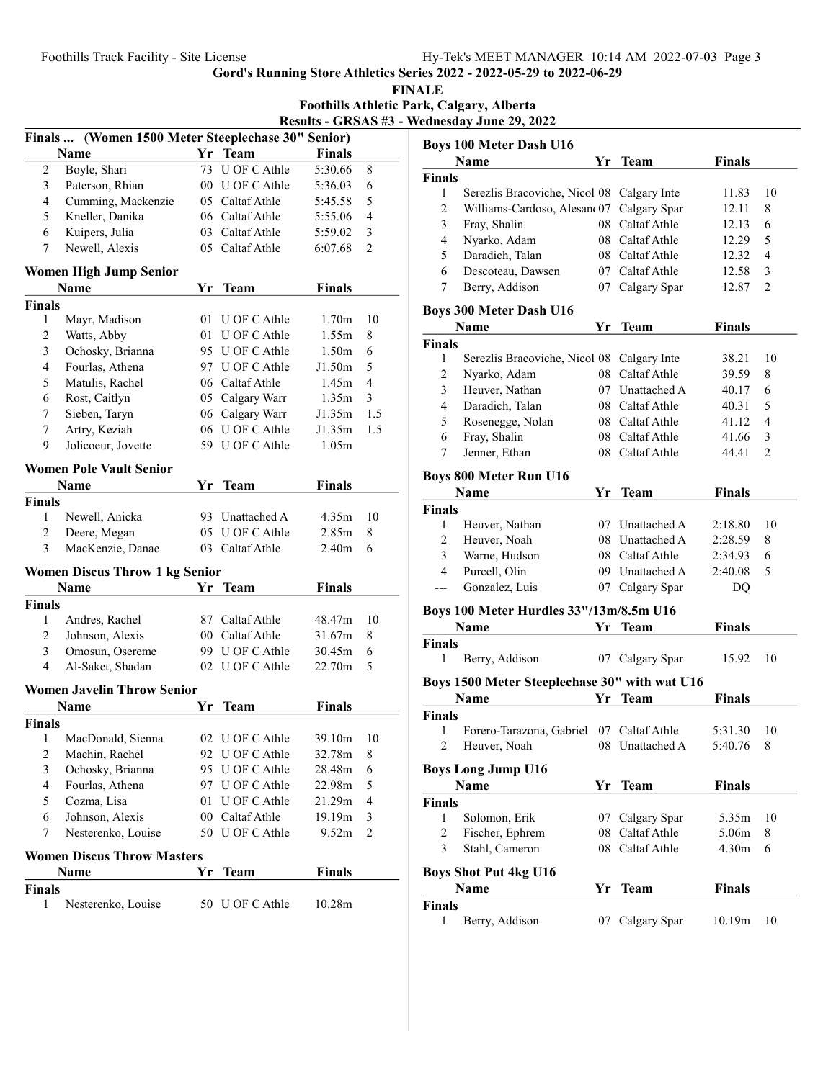gorden 2022 - 2022 - 2022 - 2022 - 2022 - 2022 - 2022

|                | <b>Foothills Track Facility - Site License</b>     |    |                 |                   |                |                               | Hy-Tek's MEET MANA                                         |
|----------------|----------------------------------------------------|----|-----------------|-------------------|----------------|-------------------------------|------------------------------------------------------------|
|                |                                                    |    |                 |                   |                |                               | Gord's Running Store Athletics Series 2022 - 2022-05-29 to |
|                |                                                    |    |                 |                   |                | <b>FINALE</b>                 |                                                            |
|                |                                                    |    |                 |                   |                |                               | <b>Foothills Athletic Park, Calgary, Alberta</b>           |
|                |                                                    |    |                 |                   |                |                               | Results - GRSAS #3 - Wednesday June 29, 2022               |
|                | Finals  (Women 1500 Meter Steeplechase 30" Senior) |    |                 |                   |                |                               | <b>Boys 100 Meter Dash U</b>                               |
|                | Name                                               |    | Yr Team         | <b>Finals</b>     |                |                               | <b>Name</b>                                                |
| $\overline{c}$ | Boyle, Shari                                       |    | 73 U OF C Athle | 5:30.66           | 8              | <b>Finals</b>                 |                                                            |
| 3              | Paterson, Rhian                                    |    | 00 U OF C Athle | 5:36.03           | 6              | $\mathbf{1}$                  | Serezlis Bracoviche                                        |
| $\overline{4}$ | Cumming, Mackenzie                                 |    | 05 Caltaf Athle | 5:45.58           | 5              | $\overline{c}$                | Williams-Cardoso,                                          |
| 5              | Kneller, Danika                                    |    | 06 Caltaf Athle | 5:55.06           | $\overline{4}$ | 3                             | Fray, Shalin                                               |
| 6              | Kuipers, Julia                                     |    | 03 Caltaf Athle | 5:59.02           | 3              | 4                             | Nyarko, Adam                                               |
| 7              | Newell, Alexis                                     |    | 05 Caltaf Athle | 6:07.68           | 2              | 5                             | Daradich, Talan                                            |
|                | <b>Women High Jump Senior</b>                      |    |                 |                   |                | 6                             | Descoteau, Dawsen                                          |
|                | Name                                               |    | Yr Team         | <b>Finals</b>     |                | 7                             | Berry, Addison                                             |
| <b>Finals</b>  |                                                    |    |                 |                   |                |                               |                                                            |
| $\mathbf{1}$   | Mayr, Madison                                      |    | 01 U OF C Athle | 1.70m             | 10             |                               | <b>Boys 300 Meter Dash U</b>                               |
| $\mathbf{2}$   | Watts, Abby                                        |    | 01 U OF C Athle | 1.55m             | 8              |                               | <b>Name</b>                                                |
| 3              | Ochosky, Brianna                                   |    | 95 U OF C Athle | 1.50 <sub>m</sub> | 6              | <b>Finals</b>                 |                                                            |
| $\overline{4}$ | Fourlas, Athena                                    |    | 97 U OF C Athle | J1.50m            | 5              | 1                             | Serezlis Bracoviche                                        |
| 5              | Matulis, Rachel                                    |    | 06 Caltaf Athle | 1.45m             | $\overline{4}$ | $\overline{2}$                | Nyarko, Adam                                               |
| 6              | Rost, Caitlyn                                      |    | 05 Calgary Warr | 1.35m             | 3              | 3                             | Heuver, Nathan                                             |
| 7              | Sieben, Taryn                                      |    | 06 Calgary Warr | J1.35m            | 1.5            | $\overline{4}$                | Daradich, Talan                                            |
| $\tau$         | Artry, Keziah                                      |    | 06 U OF C Athle | J1.35m            | 1.5            | 5                             | Rosenegge, Nolan                                           |
| 9              | Jolicoeur, Jovette                                 |    | 59 U OF C Athle | 1.05m             |                | 6                             | Fray, Shalin                                               |
|                |                                                    |    |                 |                   |                | 7                             | Jenner, Ethan                                              |
|                | <b>Women Pole Vault Senior</b>                     |    |                 |                   |                |                               | Boys 800 Meter Run U1                                      |
|                | Name                                               |    | Yr Team         | <b>Finals</b>     |                |                               | <b>Name</b>                                                |
| <b>Finals</b>  |                                                    |    |                 |                   |                | <b>Finals</b>                 |                                                            |
| $\mathbf{1}$   | Newell, Anicka                                     |    | 93 Unattached A | 4.35m             | 10             | 1                             | Heuver, Nathan                                             |
| $\overline{c}$ | Deere, Megan                                       |    | 05 U OF C Athle | 2.85m             | 8              | 2                             | Heuver, Noah                                               |
| 3              | MacKenzie, Danae                                   |    | 03 Caltaf Athle | 2.40 <sub>m</sub> | 6              | $\overline{3}$                | Warne, Hudson                                              |
|                | <b>Women Discus Throw 1 kg Senior</b>              |    |                 |                   |                | $\overline{4}$                | Purcell, Olin                                              |
|                | Name                                               |    | Yr Team         | Finals            |                | ---                           | Gonzalez, Luis                                             |
| <b>Finals</b>  |                                                    |    |                 |                   |                |                               |                                                            |
| 1              | Andres, Rachel                                     |    | 87 Caltaf Athle | 48.47m            | 10             |                               | <b>Boys 100 Meter Hurdle</b>                               |
| $\overline{2}$ | Johnson, Alexis                                    |    | 00 Caltaf Athle | 31.67m            | 8              |                               | Name                                                       |
| 3              | Omosun, Osereme                                    |    | 99 U OF C Athle | 30.45m            | 6              | <b>Finals</b>                 |                                                            |
| $\overline{4}$ | Al-Saket, Shadan                                   |    | 02 U OF C Athle | 22.70m            | 5              | 1                             | Berry, Addison                                             |
|                |                                                    |    |                 |                   |                |                               | <b>Boys 1500 Meter Steepl</b>                              |
|                | <b>Women Javelin Throw Senior</b>                  |    |                 |                   |                |                               | Name                                                       |
|                | Name                                               |    | Yr Team         | <b>Finals</b>     |                | <b>Finals</b>                 |                                                            |
| <b>Finals</b>  |                                                    |    |                 |                   |                | 1                             | Forero-Tarazona, G                                         |
| 1              | MacDonald, Sienna                                  |    | 02 U OF C Athle | 39.10m            | 10             | 2                             | Heuver, Noah                                               |
| 2              | Machin, Rachel                                     |    | 92 U OF C Athle | 32.78m            | 8              |                               |                                                            |
| 3              | Ochosky, Brianna                                   |    | 95 U OF C Athle | 28.48m            | 6              |                               | <b>Boys Long Jump U16</b>                                  |
| 4              | Fourlas, Athena                                    |    | 97 U OF C Athle | 22.98m            | 5              |                               | Name                                                       |
| 5              | Cozma, Lisa                                        |    | 01 U OF C Athle | 21.29m            | 4              | <b>Finals</b>                 |                                                            |
| 6              | Johnson, Alexis                                    |    | 00 Caltaf Athle | 19.19m            | 3              | 1                             | Solomon, Erik                                              |
| 7              | Nesterenko, Louise                                 |    | 50 U OF C Athle | 9.52 <sub>m</sub> | 2              | $\overline{2}$                | Fischer, Ephrem                                            |
|                | <b>Women Discus Throw Masters</b>                  |    |                 |                   |                | 3                             | Stahl, Cameron                                             |
|                | <b>Name</b>                                        | Yr |                 | <b>Finals</b>     |                |                               |                                                            |
| <b>Finals</b>  |                                                    |    | Team            |                   |                |                               | <b>Boys Shot Put 4kg U16</b><br>Name                       |
| $\mathbf{1}$   | Nesterenko, Louise                                 |    | 50 U OF C Athle | 10.28m            |                |                               |                                                            |
|                |                                                    |    |                 |                   |                | <b>Finals</b><br>$\mathbf{1}$ |                                                            |
|                |                                                    |    |                 |                   |                |                               | Berry, Addison                                             |
|                |                                                    |    |                 |                   |                |                               |                                                            |

|                         | <b>Boys 100 Meter Dash U16</b>                 |     |                 |               |                |
|-------------------------|------------------------------------------------|-----|-----------------|---------------|----------------|
|                         | Name                                           | Yr  | <b>Team</b>     | <b>Finals</b> |                |
| Finals                  |                                                |     |                 |               |                |
| $\mathbf{1}$            | Serezlis Bracoviche, Nicol 08 Calgary Inte     |     |                 | 11.83         | 10             |
| $\mathfrak{2}$          | Williams-Cardoso, Alesano 07                   |     | Calgary Spar    | 12.11         | 8              |
| 3                       | Fray, Shalin                                   | 08  | Caltaf Athle    | 12.13         | 6              |
| 4                       | Nyarko, Adam                                   |     | 08 Caltaf Athle | 12.29         | 5              |
| 5                       | Daradich, Talan                                |     | 08 Caltaf Athle | 12.32         | 4              |
| 6                       | Descoteau, Dawsen                              |     | 07 Caltaf Athle | 12.58         | 3              |
| 7                       | Berry, Addison                                 | 07  | Calgary Spar    | 12.87         | $\overline{c}$ |
|                         | <b>Boys 300 Meter Dash U16</b>                 |     |                 |               |                |
|                         | <b>Name</b>                                    | Yr  | Team            | <b>Finals</b> |                |
| Finals                  |                                                |     |                 |               |                |
| 1                       | Serezlis Bracoviche, Nicol 08 Calgary Inte     |     |                 | 38.21         | 10             |
| $\overline{c}$          | Nyarko, Adam                                   |     | 08 Caltaf Athle | 39.59         | 8              |
| 3                       | Heuver, Nathan                                 |     | 07 Unattached A | 40.17         | 6              |
| 4                       | Daradich, Talan                                |     | 08 Caltaf Athle | 40.31         | 5              |
| 5                       | Rosenegge, Nolan                               |     | 08 Caltaf Athle | 41.12         | 4              |
| 6                       | Fray, Shalin                                   |     | 08 Caltaf Athle | 41.66         | 3              |
| 7                       | Jenner, Ethan                                  | 08  | Caltaf Athle    | 44.41         | 2              |
|                         | <b>Boys 800 Meter Run U16</b>                  |     |                 |               |                |
|                         | <b>Name</b>                                    | Yr  | <b>Team</b>     | <b>Finals</b> |                |
| Finals                  |                                                |     |                 |               |                |
| $\mathbf{1}$            | Heuver, Nathan                                 |     | 07 Unattached A | 2:18.80       | 10             |
| 2                       | Heuver, Noah                                   |     | 08 Unattached A | 2:28.59       | 8              |
| 3                       | Warne, Hudson                                  |     | 08 Caltaf Athle | 2:34.93       | 6              |
| $\overline{4}$          | Purcell, Olin                                  |     | 09 Unattached A | 2:40.08       | 5              |
| ---                     | Gonzalez, Luis                                 |     | 07 Calgary Spar | DQ            |                |
|                         |                                                |     |                 |               |                |
|                         | <b>Boys 100 Meter Hurdles 33"/13m/8.5m U16</b> |     |                 |               |                |
|                         | Name                                           | Yr  | <b>Team</b>     | Finals        |                |
| Finals<br>1             | Berry, Addison                                 |     | 07 Calgary Spar | 15.92         | 10             |
|                         |                                                |     |                 |               |                |
|                         | Boys 1500 Meter Steeplechase 30" with wat U16  |     |                 |               |                |
|                         | Name                                           | Yr. | Team            | <b>Finals</b> |                |
| Finals                  |                                                |     |                 |               |                |
| 1                       | Forero-Tarazona, Gabriel                       |     | 07 Caltaf Athle | 5:31.30       | 10             |
| $\overline{\mathbf{c}}$ | Heuver, Noah                                   | 08  | Unattached A    | 5:40.76       | 8              |
|                         | Boys Long Jump U16                             |     |                 |               |                |
|                         | Name                                           | Yr  | <b>Team</b>     | <b>Finals</b> |                |
| Finals                  |                                                |     |                 |               |                |
| 1                       | Solomon, Erik                                  | 07  | Calgary Spar    | 5.35m         | 10             |
| $\overline{c}$          | Fischer, Ephrem                                | 08  | Caltaf Athle    | 5.06m         | 8              |
| 3                       | Stahl, Cameron                                 | 08  | Caltaf Athle    | 4.30m         | 6              |
|                         |                                                |     |                 |               |                |
|                         | <b>Boys Shot Put 4kg U16</b>                   |     |                 |               |                |
|                         | Name                                           | Yr  | Team            | <b>Finals</b> |                |
| Finals<br>1             | Berry, Addison                                 | 07  | Calgary Spar    | 10.19m        | 10             |
|                         |                                                |     |                 |               |                |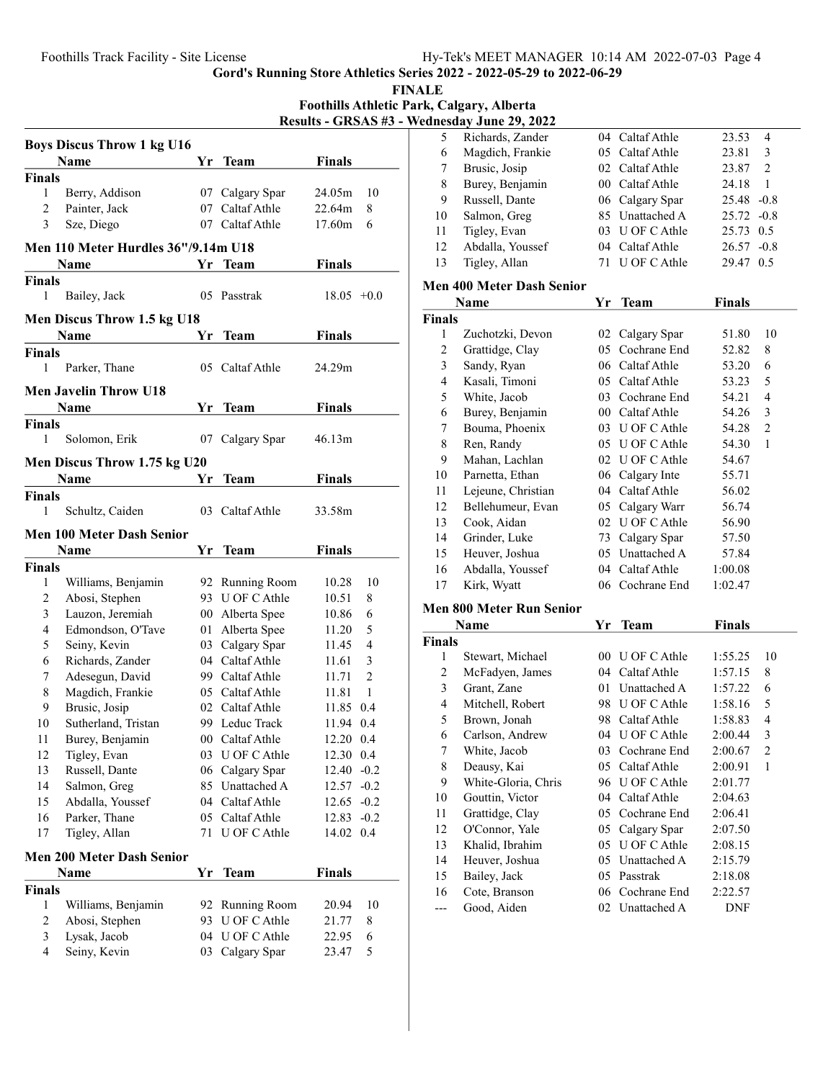FINALE

Foothills Athletic Park, Calgary, Alberta Results - GRSAS #3 - Wednesday June 29, 2022

|                     | <b>Boys Discus Throw 1 kg U16</b>   |          |                                    |                |                |
|---------------------|-------------------------------------|----------|------------------------------------|----------------|----------------|
|                     | Name                                |          | Yr Team                            | <b>Finals</b>  |                |
| <b>Finals</b>       |                                     |          |                                    |                |                |
| 1                   | Berry, Addison                      | 07       | Calgary Spar                       | 24.05m         | 10             |
| 2                   | Painter, Jack                       | 07       | Caltaf Athle                       | 22.64m         | 8              |
| 3                   | Sze, Diego                          |          | 07 Caltaf Athle                    | 17.60m         | 6              |
|                     | Men 110 Meter Hurdles 36"/9.14m U18 |          |                                    |                |                |
|                     | Name                                | Υr       | Team                               | <b>Finals</b>  |                |
| <b>Finals</b>       |                                     |          |                                    |                |                |
| 1                   | Bailey, Jack                        | 05       | Passtrak                           | $18.05 +0.0$   |                |
|                     |                                     |          |                                    |                |                |
|                     | <b>Men Discus Throw 1.5 kg U18</b>  |          |                                    |                |                |
|                     | Name                                | Yr       | Team                               | <b>Finals</b>  |                |
| <b>Finals</b>       |                                     |          |                                    |                |                |
| 1                   | Parker, Thane                       |          | 05 Caltaf Athle                    | 24.29m         |                |
|                     | <b>Men Javelin Throw U18</b>        |          |                                    |                |                |
|                     | Name                                | Yr       | Team                               | <b>Finals</b>  |                |
| <b>Finals</b>       |                                     |          |                                    |                |                |
| 1                   | Solomon, Erik                       | 07       | Calgary Spar                       | 46.13m         |                |
|                     | Men Discus Throw 1.75 kg U20        |          |                                    |                |                |
|                     | Name                                | Yr       | Team                               | <b>Finals</b>  |                |
| <b>Finals</b>       |                                     |          |                                    |                |                |
| 1                   | Schultz, Caiden                     | 03       | Caltaf Athle                       | 33.58m         |                |
|                     |                                     |          |                                    |                |                |
|                     | <b>Men 100 Meter Dash Senior</b>    |          |                                    |                |                |
|                     | Name                                | Yr       | Team                               | Finals         |                |
| Finals<br>1         |                                     |          |                                    |                | 10             |
| 2                   | Williams, Benjamin                  |          | 92 Running Room<br>93 U OF C Athle | 10.28<br>10.51 | 8              |
| 3                   | Abosi, Stephen<br>Lauzon, Jeremiah  |          | 00 Alberta Spee                    | 10.86          | 6              |
| 4                   | Edmondson, O'Tave                   | 01       | Alberta Spee                       | 11.20          | 5              |
| 5                   | Seiny, Kevin                        |          | 03 Calgary Spar                    | 11.45          | 4              |
| 6                   | Richards, Zander                    |          | 04 Caltaf Athle                    | 11.61          | 3              |
| 7                   | Adesegun, David                     |          | 99 Caltaf Athle                    | 11.71          | $\overline{c}$ |
| 8                   | Magdich, Frankie                    |          | 05 Caltaf Athle                    | 11.81          | 1              |
| 9                   | Brusic, Josip                       |          | 02 Caltaf Athle                    | 11.85          | 0.4            |
| 10                  | Sutherland, Tristan                 |          | 99 Leduc Track                     | 11.94          | 0.4            |
| 11                  | Burey, Benjamin                     | 00       | Caltaf Athle                       | 12.20          | 0.4            |
| 12                  | Tigley, Evan                        | 03       | U OF C Athle                       | 12.30          | 0.4            |
| 13                  | Russell, Dante                      | 06       | Calgary Spar                       | 12.40          | $-0.2$         |
| 14                  | Salmon, Greg                        | 85       | Unattached A                       | 12.57          | $-0.2$         |
| 15                  | Abdalla, Youssef                    |          | 04 Caltaf Athle                    | 12.65          | $-0.2$         |
| 16                  |                                     |          |                                    |                |                |
|                     | Parker, Thane                       |          | 05 Caltaf Athle                    | 12.83          | $-0.2$         |
| 17                  | Tigley, Allan                       | 71       | U OF C Athle                       | 14.02          | 0.4            |
|                     |                                     |          |                                    |                |                |
|                     | <b>Men 200 Meter Dash Senior</b>    |          |                                    |                |                |
|                     | Name                                | Yr       | <b>Team</b>                        | <b>Finals</b>  |                |
| Finals              |                                     |          |                                    |                |                |
| $\mathbf{1}$        | Williams, Benjamin                  | 92       | Running Room                       | 20.94          | 10             |
| 2                   | Abosi, Stephen                      | 93       | U OF C Athle                       | 21.77          | 8              |
| 3<br>$\overline{4}$ | Lysak, Jacob<br>Seiny, Kevin        | 04<br>03 | U OF C Athle<br>Calgary Spar       | 22.95<br>23.47 | 6<br>5         |

|    | IIIWAR JUIN 47, 4044 |                 |               |        |
|----|----------------------|-----------------|---------------|--------|
| 5  | Richards, Zander     | 04 Caltaf Athle | 23.53         | 4      |
| 6  | Magdich, Frankie     | 05 Caltaf Athle | 23.81         | 3      |
| 7  | Brusic, Josip        | 02 Caltaf Athle | 23.87         | 2      |
| 8  | Burey, Benjamin      | 00 Caltaf Athle | 24.18         | 1      |
| 9  | Russell, Dante       | 06 Calgary Spar | $25.48 - 0.8$ |        |
| 10 | Salmon, Greg         | 85 Unattached A | $25.72 -0.8$  |        |
| 11 | Tigley, Evan         | 03 U OF C Athle | 25.73 0.5     |        |
| 12 | Abdalla, Youssef     | 04 Caltaf Athle | 26.57         | $-0.8$ |
| 13 | Tigley, Allan        | 71 U OF C Athle | 29.47         | 0.5    |

#### Men 400 Meter Dash Senior

|               | Name                            | Yr              | <b>Team</b>     | <b>Finals</b> |              |
|---------------|---------------------------------|-----------------|-----------------|---------------|--------------|
| <b>Finals</b> |                                 |                 |                 |               |              |
| 1             | Zuchotzki, Devon                | 02              | Calgary Spar    | 51.80         | 10           |
| 2             | Grattidge, Clay                 | 05              | Cochrane End    | 52.82         | 8            |
| 3             | Sandy, Ryan                     | 06              | Caltaf Athle    | 53.20         | 6            |
| 4             | Kasali, Timoni                  | 05              | Caltaf Athle    | 53.23         | 5            |
| 5             | White, Jacob                    | 03              | Cochrane End    | 54.21         | 4            |
| 6             | Burey, Benjamin                 | $00\,$          | Caltaf Athle    | 54.26         | 3            |
| 7             | Bouma, Phoenix                  | 03              | U OF C Athle    | 54.28         | 2            |
| 8             | Ren, Randy                      | 05              | U OF C Athle    | 54.30         | $\mathbf{1}$ |
| 9             | Mahan, Lachlan                  | 02              | U OF C Athle    | 54.67         |              |
| 10            | Parnetta, Ethan                 |                 | 06 Calgary Inte | 55.71         |              |
| 11            | Lejeune, Christian              | 04              | Caltaf Athle    | 56.02         |              |
| 12            | Bellehumeur, Evan               | 05              | Calgary Warr    | 56.74         |              |
| 13            | Cook, Aidan                     | 02              | U OF C Athle    | 56.90         |              |
| 14            | Grinder, Luke                   | 73              | Calgary Spar    | 57.50         |              |
| 15            | Heuver, Joshua                  | 05              | Unattached A    | 57.84         |              |
| 16            | Abdalla, Youssef                | 04              | Caltaf Athle    | 1:00.08       |              |
| 17            | Kirk, Wyatt                     |                 | 06 Cochrane End | 1:02.47       |              |
|               | <b>Men 800 Meter Run Senior</b> |                 |                 |               |              |
|               | Name                            | Yr              | Team            | Finals        |              |
| Finals        |                                 |                 |                 |               |              |
|               | Stewart, Michael                | 00 <sup>1</sup> | U OF C Athle    | 1:55.25       | 10           |

| ∛inals |                     |     |                   |         |                |
|--------|---------------------|-----|-------------------|---------|----------------|
| 1      | Stewart, Michael    |     | $00$ U OF C Athle | 1:55.25 | 10             |
| 2      | McFadyen, James     |     | 04 Caltaf Athle   | 1:57.15 | 8              |
| 3      | Grant, Zane         | 01  | Unattached A      | 1:57.22 | 6              |
| 4      | Mitchell, Robert    | 98  | U OF C Athle      | 1:58.16 | 5              |
| 5      | Brown, Jonah        | 98. | Caltaf Athle      | 1:58.83 | 4              |
| 6      | Carlson, Andrew     | 04  | U OF C Athle      | 2:00.44 | 3              |
| 7      | White, Jacob        | 03  | Cochrane End      | 2:00.67 | $\overline{2}$ |
| 8      | Deausy, Kai         |     | 05 Caltaf Athle   | 2:00.91 | 1              |
| 9      | White-Gloria, Chris |     | 96 U OF C Athle   | 2:01.77 |                |
| 10     | Gouttin, Victor     |     | 04 Caltaf Athle   | 2:04.63 |                |
| 11     | Grattidge, Clay     |     | 05 Cochrane End   | 2:06.41 |                |
| 12     | O'Connor, Yale      |     | 05 Calgary Spar   | 2:07.50 |                |
| 13     | Khalid, Ibrahim     | 05  | U OF C Athle      | 2:08.15 |                |
| 14     | Heuver, Joshua      | 05  | Unattached A      | 2:15.79 |                |
| 15     | Bailey, Jack        | 05  | Passtrak          | 2:18.08 |                |
| 16     | Cote, Branson       | 06  | Cochrane End      | 2:22.57 |                |
|        | Good, Aiden         |     | 02 Unattached A   | DNF     |                |